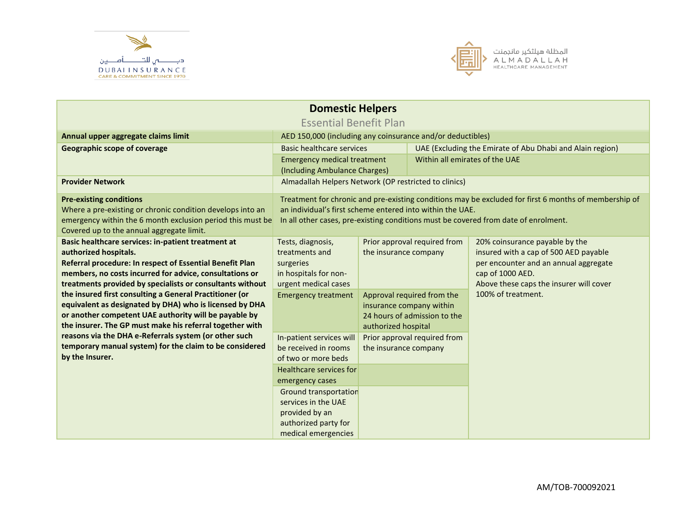



| <b>Domestic Helpers</b>                                                                                              |                                                                                                       |                                                     |                                |                                                                                     |  |  |
|----------------------------------------------------------------------------------------------------------------------|-------------------------------------------------------------------------------------------------------|-----------------------------------------------------|--------------------------------|-------------------------------------------------------------------------------------|--|--|
| <b>Essential Benefit Plan</b>                                                                                        |                                                                                                       |                                                     |                                |                                                                                     |  |  |
| Annual upper aggregate claims limit                                                                                  | AED 150,000 (including any coinsurance and/or deductibles)                                            |                                                     |                                |                                                                                     |  |  |
| <b>Geographic scope of coverage</b>                                                                                  | <b>Basic healthcare services</b>                                                                      |                                                     |                                | UAE (Excluding the Emirate of Abu Dhabi and Alain region)                           |  |  |
|                                                                                                                      | <b>Emergency medical treatment</b>                                                                    |                                                     | Within all emirates of the UAE |                                                                                     |  |  |
|                                                                                                                      | (Including Ambulance Charges)                                                                         |                                                     |                                |                                                                                     |  |  |
| <b>Provider Network</b>                                                                                              | Almadallah Helpers Network (OP restricted to clinics)                                                 |                                                     |                                |                                                                                     |  |  |
| <b>Pre-existing conditions</b>                                                                                       | Treatment for chronic and pre-existing conditions may be excluded for first 6 months of membership of |                                                     |                                |                                                                                     |  |  |
| Where a pre-existing or chronic condition develops into an                                                           | an individual's first scheme entered into within the UAE.                                             |                                                     |                                |                                                                                     |  |  |
| emergency within the 6 month exclusion period this must be                                                           |                                                                                                       |                                                     |                                | In all other cases, pre-existing conditions must be covered from date of enrolment. |  |  |
| Covered up to the annual aggregate limit.                                                                            |                                                                                                       |                                                     |                                |                                                                                     |  |  |
| Basic healthcare services: in-patient treatment at                                                                   | Tests, diagnosis,                                                                                     |                                                     | Prior approval required from   | 20% coinsurance payable by the                                                      |  |  |
| authorized hospitals.                                                                                                | treatments and                                                                                        | the insurance company                               |                                | insured with a cap of 500 AED payable                                               |  |  |
| Referral procedure: In respect of Essential Benefit Plan                                                             | surgeries                                                                                             | per encounter and an annual aggregate               |                                |                                                                                     |  |  |
| members, no costs incurred for advice, consultations or                                                              | in hospitals for non-                                                                                 |                                                     | cap of 1000 AED.               |                                                                                     |  |  |
| treatments provided by specialists or consultants without<br>the insured first consulting a General Practitioner (or | urgent medical cases<br>100% of treatment.                                                            |                                                     |                                | Above these caps the insurer will cover                                             |  |  |
| equivalent as designated by DHA) who is licensed by DHA                                                              | Approval required from the<br><b>Emergency treatment</b><br>insurance company within                  |                                                     |                                |                                                                                     |  |  |
| or another competent UAE authority will be payable by                                                                |                                                                                                       |                                                     |                                |                                                                                     |  |  |
| the insurer. The GP must make his referral together with                                                             |                                                                                                       | 24 hours of admission to the<br>authorized hospital |                                |                                                                                     |  |  |
| reasons via the DHA e-Referrals system (or other such                                                                | In-patient services will                                                                              |                                                     | Prior approval required from   |                                                                                     |  |  |
| temporary manual system) for the claim to be considered                                                              | be received in rooms                                                                                  | the insurance company                               |                                |                                                                                     |  |  |
| by the Insurer.                                                                                                      | of two or more beds                                                                                   |                                                     |                                |                                                                                     |  |  |
|                                                                                                                      | Healthcare services for                                                                               |                                                     |                                |                                                                                     |  |  |
|                                                                                                                      | emergency cases                                                                                       |                                                     |                                |                                                                                     |  |  |
|                                                                                                                      | <b>Ground transportation</b>                                                                          |                                                     |                                |                                                                                     |  |  |
|                                                                                                                      | services in the UAE                                                                                   |                                                     |                                |                                                                                     |  |  |
|                                                                                                                      | provided by an                                                                                        |                                                     |                                |                                                                                     |  |  |
|                                                                                                                      | authorized party for                                                                                  |                                                     |                                |                                                                                     |  |  |
|                                                                                                                      | medical emergencies                                                                                   |                                                     |                                |                                                                                     |  |  |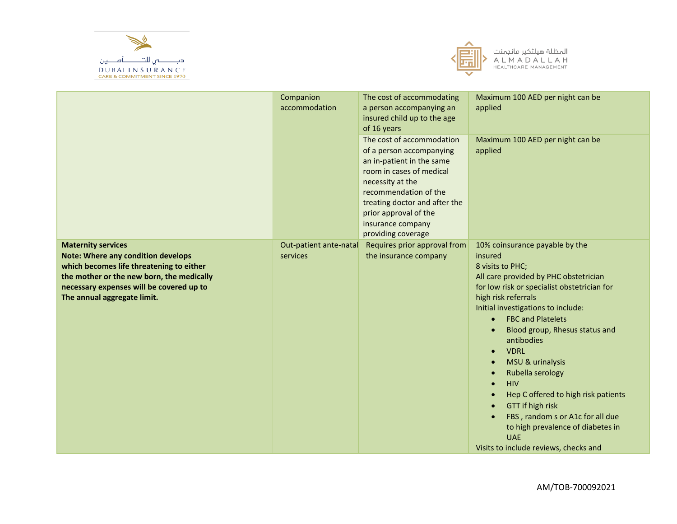



|                                                                                                                                                                                                                                            | Companion<br>accommodation         | The cost of accommodating<br>a person accompanying an<br>insured child up to the age<br>of 16 years<br>The cost of accommodation<br>of a person accompanying<br>an in-patient in the same<br>room in cases of medical<br>necessity at the<br>recommendation of the<br>treating doctor and after the<br>prior approval of the<br>insurance company<br>providing coverage | Maximum 100 AED per night can be<br>applied<br>Maximum 100 AED per night can be<br>applied                                                                                                                                                                                                                                                                                                                                                                                                                                                                                                                                                                |
|--------------------------------------------------------------------------------------------------------------------------------------------------------------------------------------------------------------------------------------------|------------------------------------|-------------------------------------------------------------------------------------------------------------------------------------------------------------------------------------------------------------------------------------------------------------------------------------------------------------------------------------------------------------------------|-----------------------------------------------------------------------------------------------------------------------------------------------------------------------------------------------------------------------------------------------------------------------------------------------------------------------------------------------------------------------------------------------------------------------------------------------------------------------------------------------------------------------------------------------------------------------------------------------------------------------------------------------------------|
| <b>Maternity services</b><br><b>Note: Where any condition develops</b><br>which becomes life threatening to either<br>the mother or the new born, the medically<br>necessary expenses will be covered up to<br>The annual aggregate limit. | Out-patient ante-natal<br>services | Requires prior approval from<br>the insurance company                                                                                                                                                                                                                                                                                                                   | 10% coinsurance payable by the<br>insured<br>8 visits to PHC;<br>All care provided by PHC obstetrician<br>for low risk or specialist obstetrician for<br>high risk referrals<br>Initial investigations to include:<br><b>FBC and Platelets</b><br>$\bullet$<br>Blood group, Rhesus status and<br>antibodies<br><b>VDRL</b><br>$\bullet$<br>MSU & urinalysis<br>$\bullet$<br>Rubella serology<br>$\bullet$<br><b>HIV</b><br>$\bullet$<br>Hep C offered to high risk patients<br>$\bullet$<br>GTT if high risk<br>$\bullet$<br>FBS, random s or A1c for all due<br>to high prevalence of diabetes in<br><b>UAE</b><br>Visits to include reviews, checks and |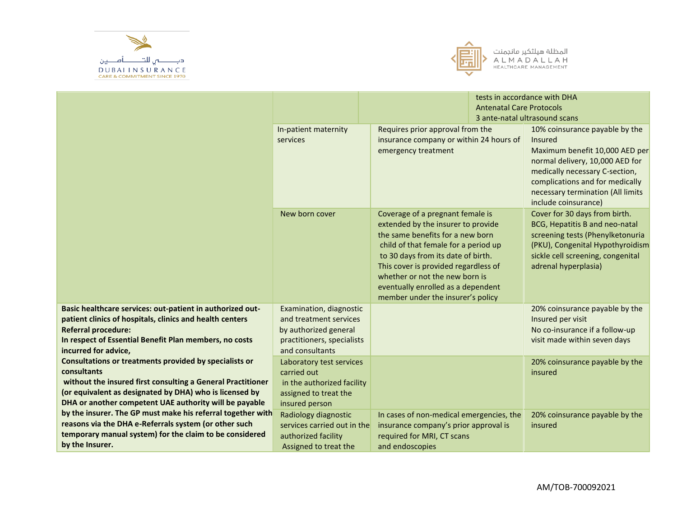



|                                                                                                                       |                                                     |                                                                                                                                                                                                                                                                                                                                               | <b>Antenatal Care Protocols</b> | tests in accordance with DHA                                                                                                                                                                         |
|-----------------------------------------------------------------------------------------------------------------------|-----------------------------------------------------|-----------------------------------------------------------------------------------------------------------------------------------------------------------------------------------------------------------------------------------------------------------------------------------------------------------------------------------------------|---------------------------------|------------------------------------------------------------------------------------------------------------------------------------------------------------------------------------------------------|
|                                                                                                                       |                                                     |                                                                                                                                                                                                                                                                                                                                               |                                 | 3 ante-natal ultrasound scans                                                                                                                                                                        |
|                                                                                                                       | In-patient maternity<br>services                    | Requires prior approval from the<br>insurance company or within 24 hours of<br>Insured<br>emergency treatment                                                                                                                                                                                                                                 |                                 | 10% coinsurance payable by the<br>Maximum benefit 10,000 AED per<br>normal delivery, 10,000 AED for<br>medically necessary C-section,                                                                |
|                                                                                                                       |                                                     |                                                                                                                                                                                                                                                                                                                                               |                                 | complications and for medically<br>necessary termination (All limits<br>include coinsurance)                                                                                                         |
|                                                                                                                       | New born cover                                      | Coverage of a pregnant female is<br>extended by the insurer to provide<br>the same benefits for a new born<br>child of that female for a period up<br>to 30 days from its date of birth.<br>This cover is provided regardless of<br>whether or not the new born is<br>eventually enrolled as a dependent<br>member under the insurer's policy |                                 | Cover for 30 days from birth.<br>BCG, Hepatitis B and neo-natal<br>screening tests (Phenylketonuria<br>(PKU), Congenital Hypothyroidism<br>sickle cell screening, congenital<br>adrenal hyperplasia) |
| Basic healthcare services: out-patient in authorized out-<br>patient clinics of hospitals, clinics and health centers | Examination, diagnostic<br>and treatment services   |                                                                                                                                                                                                                                                                                                                                               |                                 | 20% coinsurance payable by the<br>Insured per visit                                                                                                                                                  |
| <b>Referral procedure:</b>                                                                                            | by authorized general                               |                                                                                                                                                                                                                                                                                                                                               |                                 | No co-insurance if a follow-up                                                                                                                                                                       |
| In respect of Essential Benefit Plan members, no costs<br>incurred for advice,                                        | practitioners, specialists<br>and consultants       |                                                                                                                                                                                                                                                                                                                                               |                                 | visit made within seven days                                                                                                                                                                         |
| Consultations or treatments provided by specialists or                                                                | Laboratory test services                            |                                                                                                                                                                                                                                                                                                                                               |                                 | 20% coinsurance payable by the                                                                                                                                                                       |
| consultants<br>without the insured first consulting a General Practitioner                                            | carried out                                         |                                                                                                                                                                                                                                                                                                                                               |                                 | insured                                                                                                                                                                                              |
| (or equivalent as designated by DHA) who is licensed by                                                               | in the authorized facility<br>assigned to treat the |                                                                                                                                                                                                                                                                                                                                               |                                 |                                                                                                                                                                                                      |
| DHA or another competent UAE authority will be payable                                                                | insured person                                      |                                                                                                                                                                                                                                                                                                                                               |                                 |                                                                                                                                                                                                      |
| by the insurer. The GP must make his referral together with                                                           | Radiology diagnostic                                | In cases of non-medical emergencies, the                                                                                                                                                                                                                                                                                                      |                                 | 20% coinsurance payable by the                                                                                                                                                                       |
| reasons via the DHA e-Referrals system (or other such                                                                 | services carried out in the                         | insurance company's prior approval is                                                                                                                                                                                                                                                                                                         |                                 | insured                                                                                                                                                                                              |
| temporary manual system) for the claim to be considered                                                               | authorized facility                                 | required for MRI, CT scans                                                                                                                                                                                                                                                                                                                    |                                 |                                                                                                                                                                                                      |
| by the Insurer.                                                                                                       | Assigned to treat the                               | and endoscopies                                                                                                                                                                                                                                                                                                                               |                                 |                                                                                                                                                                                                      |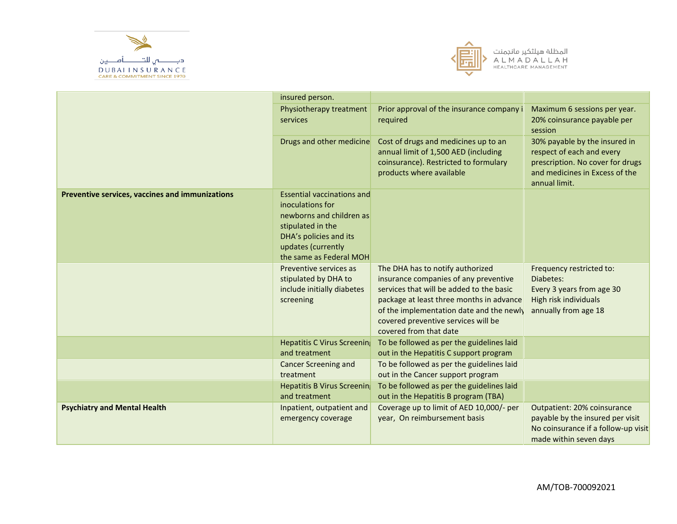



|                                                 | insured person.                                                                                                                                                                   |                                                                                                                                                                                                                                                                                |                                                                                                                                                   |
|-------------------------------------------------|-----------------------------------------------------------------------------------------------------------------------------------------------------------------------------------|--------------------------------------------------------------------------------------------------------------------------------------------------------------------------------------------------------------------------------------------------------------------------------|---------------------------------------------------------------------------------------------------------------------------------------------------|
|                                                 | Physiotherapy treatment<br>services                                                                                                                                               | Prior approval of the insurance company i<br>required                                                                                                                                                                                                                          | Maximum 6 sessions per year.<br>20% coinsurance payable per<br>session                                                                            |
|                                                 | Drugs and other medicine                                                                                                                                                          | Cost of drugs and medicines up to an<br>annual limit of 1,500 AED (including<br>coinsurance). Restricted to formulary<br>products where available                                                                                                                              | 30% payable by the insured in<br>respect of each and every<br>prescription. No cover for drugs<br>and medicines in Excess of the<br>annual limit. |
| Preventive services, vaccines and immunizations | <b>Essential vaccinations and</b><br>inoculations for<br>newborns and children as<br>stipulated in the<br>DHA's policies and its<br>updates (currently<br>the same as Federal MOH |                                                                                                                                                                                                                                                                                |                                                                                                                                                   |
|                                                 | Preventive services as<br>stipulated by DHA to<br>include initially diabetes<br>screening                                                                                         | The DHA has to notify authorized<br>insurance companies of any preventive<br>services that will be added to the basic<br>package at least three months in advance<br>of the implementation date and the newly<br>covered preventive services will be<br>covered from that date | Frequency restricted to:<br>Diabetes:<br>Every 3 years from age 30<br>High risk individuals<br>annually from age 18                               |
|                                                 | <b>Hepatitis C Virus Screening</b><br>and treatment                                                                                                                               | To be followed as per the guidelines laid<br>out in the Hepatitis C support program                                                                                                                                                                                            |                                                                                                                                                   |
|                                                 | <b>Cancer Screening and</b><br>treatment                                                                                                                                          | To be followed as per the guidelines laid<br>out in the Cancer support program                                                                                                                                                                                                 |                                                                                                                                                   |
|                                                 | Hepatitis B Virus Screening<br>and treatment                                                                                                                                      | To be followed as per the guidelines laid<br>out in the Hepatitis B program (TBA)                                                                                                                                                                                              |                                                                                                                                                   |
| <b>Psychiatry and Mental Health</b>             | Inpatient, outpatient and<br>emergency coverage                                                                                                                                   | Coverage up to limit of AED 10,000/- per<br>year, On reimbursement basis                                                                                                                                                                                                       | Outpatient: 20% coinsurance<br>payable by the insured per visit<br>No coinsurance if a follow-up visit<br>made within seven days                  |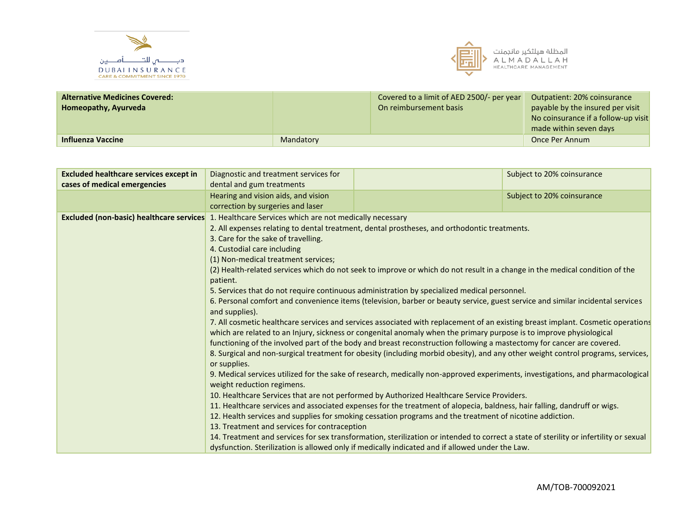



| <b>Alternative Medicines Covered:</b> |           | Covered to a limit of AED 2500/- per year | Outpatient: 20% coinsurance         |
|---------------------------------------|-----------|-------------------------------------------|-------------------------------------|
| Homeopathy, Ayurveda                  |           | On reimbursement basis                    | payable by the insured per visit    |
|                                       |           |                                           | No coinsurance if a follow-up visit |
|                                       |           |                                           | made within seven days              |
| <b>Influenza Vaccine</b>              | Mandatory |                                           | Once Per Annum                      |

| <b>Excluded healthcare services except in</b>   | Diagnostic and treatment services for                                                                                                            |                                                                                                                                       | Subject to 20% coinsurance |  |
|-------------------------------------------------|--------------------------------------------------------------------------------------------------------------------------------------------------|---------------------------------------------------------------------------------------------------------------------------------------|----------------------------|--|
| cases of medical emergencies                    | dental and gum treatments                                                                                                                        |                                                                                                                                       |                            |  |
|                                                 | Hearing and vision aids, and vision                                                                                                              |                                                                                                                                       | Subject to 20% coinsurance |  |
|                                                 | correction by surgeries and laser                                                                                                                |                                                                                                                                       |                            |  |
| <b>Excluded (non-basic) healthcare services</b> | 1. Healthcare Services which are not medically necessary                                                                                         |                                                                                                                                       |                            |  |
|                                                 |                                                                                                                                                  | 2. All expenses relating to dental treatment, dental prostheses, and orthodontic treatments.                                          |                            |  |
|                                                 | 3. Care for the sake of travelling.                                                                                                              |                                                                                                                                       |                            |  |
|                                                 | 4. Custodial care including                                                                                                                      |                                                                                                                                       |                            |  |
|                                                 | (1) Non-medical treatment services;                                                                                                              |                                                                                                                                       |                            |  |
|                                                 | (2) Health-related services which do not seek to improve or which do not result in a change in the medical condition of the<br>patient.          |                                                                                                                                       |                            |  |
|                                                 | 5. Services that do not require continuous administration by specialized medical personnel.                                                      |                                                                                                                                       |                            |  |
|                                                 | 6. Personal comfort and convenience items (television, barber or beauty service, guest service and similar incidental services<br>and supplies). |                                                                                                                                       |                            |  |
|                                                 | 7. All cosmetic healthcare services and services associated with replacement of an existing breast implant. Cosmetic operations                  |                                                                                                                                       |                            |  |
|                                                 | which are related to an Injury, sickness or congenital anomaly when the primary purpose is to improve physiological                              |                                                                                                                                       |                            |  |
|                                                 |                                                                                                                                                  | functioning of the involved part of the body and breast reconstruction following a mastectomy for cancer are covered.                 |                            |  |
|                                                 | 8. Surgical and non-surgical treatment for obesity (including morbid obesity), and any other weight control programs, services,<br>or supplies.  |                                                                                                                                       |                            |  |
|                                                 | weight reduction regimens.                                                                                                                       | 9. Medical services utilized for the sake of research, medically non-approved experiments, investigations, and pharmacological        |                            |  |
|                                                 |                                                                                                                                                  | 10. Healthcare Services that are not performed by Authorized Healthcare Service Providers.                                            |                            |  |
|                                                 |                                                                                                                                                  | 11. Healthcare services and associated expenses for the treatment of alopecia, baldness, hair falling, dandruff or wigs.              |                            |  |
|                                                 |                                                                                                                                                  | 12. Health services and supplies for smoking cessation programs and the treatment of nicotine addiction.                              |                            |  |
|                                                 | 13. Treatment and services for contraception                                                                                                     |                                                                                                                                       |                            |  |
|                                                 |                                                                                                                                                  | 14. Treatment and services for sex transformation, sterilization or intended to correct a state of sterility or infertility or sexual |                            |  |
|                                                 |                                                                                                                                                  | dysfunction. Sterilization is allowed only if medically indicated and if allowed under the Law.                                       |                            |  |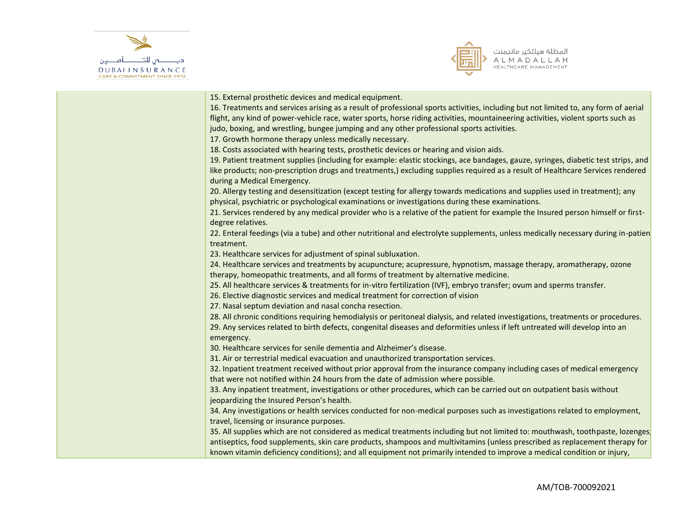



| 15. External prosthetic devices and medical equipment.                                                                              |
|-------------------------------------------------------------------------------------------------------------------------------------|
| 16. Treatments and services arising as a result of professional sports activities, including but not limited to, any form of aerial |
| flight, any kind of power-vehicle race, water sports, horse riding activities, mountaineering activities, violent sports such as    |
| judo, boxing, and wrestling, bungee jumping and any other professional sports activities.                                           |
| 17. Growth hormone therapy unless medically necessary.                                                                              |
| 18. Costs associated with hearing tests, prosthetic devices or hearing and vision aids.                                             |
| 19. Patient treatment supplies (including for example: elastic stockings, ace bandages, gauze, syringes, diabetic test strips, and  |
| like products; non-prescription drugs and treatments,) excluding supplies required as a result of Healthcare Services rendered      |
| during a Medical Emergency.                                                                                                         |
| 20. Allergy testing and desensitization (except testing for allergy towards medications and supplies used in treatment); any        |
| physical, psychiatric or psychological examinations or investigations during these examinations.                                    |
| 21. Services rendered by any medical provider who is a relative of the patient for example the Insured person himself or first-     |
| degree relatives.                                                                                                                   |
| 22. Enteral feedings (via a tube) and other nutritional and electrolyte supplements, unless medically necessary during in-patien    |
| treatment.                                                                                                                          |
| 23. Healthcare services for adjustment of spinal subluxation.                                                                       |
| 24. Healthcare services and treatments by acupuncture; acupressure, hypnotism, massage therapy, aromatherapy, ozone                 |
| therapy, homeopathic treatments, and all forms of treatment by alternative medicine.                                                |
| 25. All healthcare services & treatments for in-vitro fertilization (IVF), embryo transfer; ovum and sperms transfer.               |
| 26. Elective diagnostic services and medical treatment for correction of vision                                                     |
| 27. Nasal septum deviation and nasal concha resection.                                                                              |
| 28. All chronic conditions requiring hemodialysis or peritoneal dialysis, and related investigations, treatments or procedures.     |
| 29. Any services related to birth defects, congenital diseases and deformities unless if left untreated will develop into an        |
| emergency.                                                                                                                          |
| 30. Healthcare services for senile dementia and Alzheimer's disease.                                                                |
| 31. Air or terrestrial medical evacuation and unauthorized transportation services.                                                 |
| 32. Inpatient treatment received without prior approval from the insurance company including cases of medical emergency             |
| that were not notified within 24 hours from the date of admission where possible.                                                   |
| 33. Any inpatient treatment, investigations or other procedures, which can be carried out on outpatient basis without               |
| jeopardizing the Insured Person's health.                                                                                           |
| 34. Any investigations or health services conducted for non-medical purposes such as investigations related to employment,          |
| travel, licensing or insurance purposes.                                                                                            |
| 35. All supplies which are not considered as medical treatments including but not limited to: mouthwash, toothpaste, lozenges       |
| antiseptics, food supplements, skin care products, shampoos and multivitamins (unless prescribed as replacement therapy for         |
| known vitamin deficiency conditions); and all equipment not primarily intended to improve a medical condition or injury,            |
|                                                                                                                                     |